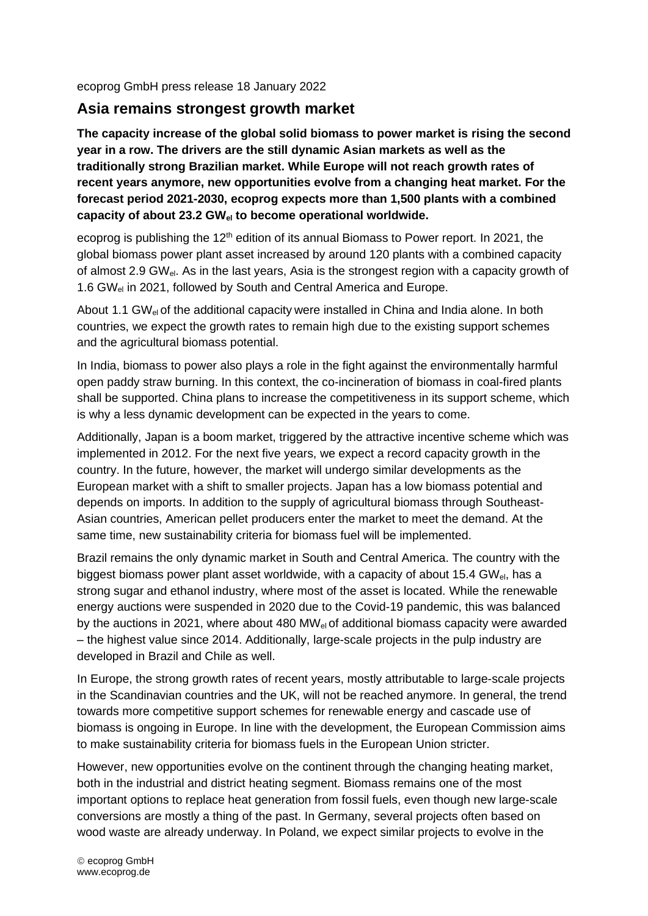ecoprog GmbH press release 18 January 2022

## **Asia remains strongest growth market**

**The capacity increase of the global solid biomass to power market is rising the second year in a row. The drivers are the still dynamic Asian markets as well as the traditionally strong Brazilian market. While Europe will not reach growth rates of recent years anymore, new opportunities evolve from a changing heat market. For the forecast period 2021-2030, ecoprog expects more than 1,500 plants with a combined capacity of about 23.2 GWel to become operational worldwide.**

ecoprog is publishing the 12<sup>th</sup> edition of its annual Biomass to Power report. In 2021, the global biomass power plant asset increased by around 120 plants with a combined capacity of almost 2.9 GW<sub>el</sub>. As in the last years, Asia is the strongest region with a capacity growth of 1.6 GWel in 2021, followed by South and Central America and Europe.

About 1.1 GWel of the additional capacity were installed in China and India alone. In both countries, we expect the growth rates to remain high due to the existing support schemes and the agricultural biomass potential.

In India, biomass to power also plays a role in the fight against the environmentally harmful open paddy straw burning. In this context, the co-incineration of biomass in coal-fired plants shall be supported. China plans to increase the competitiveness in its support scheme, which is why a less dynamic development can be expected in the years to come.

Additionally, Japan is a boom market, triggered by the attractive incentive scheme which was implemented in 2012. For the next five years, we expect a record capacity growth in the country. In the future, however, the market will undergo similar developments as the European market with a shift to smaller projects. Japan has a low biomass potential and depends on imports. In addition to the supply of agricultural biomass through Southeast-Asian countries, American pellet producers enter the market to meet the demand. At the same time, new sustainability criteria for biomass fuel will be implemented.

Brazil remains the only dynamic market in South and Central America. The country with the biggest biomass power plant asset worldwide, with a capacity of about 15.4 GWel, has a strong sugar and ethanol industry, where most of the asset is located. While the renewable energy auctions were suspended in 2020 due to the Covid-19 pandemic, this was balanced by the auctions in 2021, where about 480  $MW_{el}$  of additional biomass capacity were awarded – the highest value since 2014. Additionally, large-scale projects in the pulp industry are developed in Brazil and Chile as well.

In Europe, the strong growth rates of recent years, mostly attributable to large-scale projects in the Scandinavian countries and the UK, will not be reached anymore. In general, the trend towards more competitive support schemes for renewable energy and cascade use of biomass is ongoing in Europe. In line with the development, the European Commission aims to make sustainability criteria for biomass fuels in the European Union stricter.

However, new opportunities evolve on the continent through the changing heating market, both in the industrial and district heating segment. Biomass remains one of the most important options to replace heat generation from fossil fuels, even though new large-scale conversions are mostly a thing of the past. In Germany, several projects often based on wood waste are already underway. In Poland, we expect similar projects to evolve in the